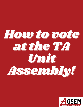# How to vote at the TA Umit Assembly!

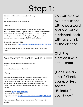## Step 1:

Belenios public server <noreply@belenios.org>

to me  $\sim$ 

You are listed as a voter for the election

Poutine

You will find below your credential. To cast a vote, you will also need a password, sent in a separate email. Be careful, passwords and credentials look similar but play different roles. You will be asked to enter your credential before entering the voting booth. Login and passwords are required once your ballot is ready to be cast.

Credential: vnxApj3tkcUvRES Page of the election: https://belenios.loria.fr/elections/gt8GMjpPGoFWQi/

Note that you are allowed to vote several times. Only the last vote counts.

#### Your password for election Poutine  $\sum$  Inbox x

Belenios public server <noreply@belenios.org>

to me  $\sim$ 

You are listed as a voter for the election

Poutine

You will find below your login and password. To cast a vote, you will also need a credential, sent in a separate email. Be careful, passwords and credentials look similar but play different roles. You will be asked to enter your credential before entering the voting booth. Login and passwords are required once your ballot is ready to be cast

Username: mail@agsem-aeedem.ca Password: 5P3PwuJzgoNSBf Page of the election: https://belenios.loria.fr/elections/gt8GMjpPGoFWQi/

Note that you are allowed to vote several times. Only the last vote counts.

You will receive two emails: one with a password, and one with a credential. Both will have a link to the election!

Click the election link in either email.

(Don't see an email? Check Spam, or just search "Belenios" in your inbox.)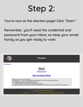### Step 2:

You're now at the election page! Click "Start."

Remember, you'll need the credential and password from your inbox, so keep your email handy as you get ready to vote!

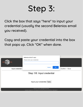### Step 3:

Click the box that says "here" to input your credential (usually the second Belenios email you received).

Copy and paste your credential into the box that pops up. Click "OK" when done.

| ЭS<br>BE<br>Input credential -                                                                     | belenios.loria.fr says<br>Please enter your credential:<br>OK<br>Cancel | - Confirm - Done |
|----------------------------------------------------------------------------------------------------|-------------------------------------------------------------------------|------------------|
| Step 1/6: Input credential                                                                         |                                                                         |                  |
|                                                                                                    |                                                                         |                  |
| Input your credential here                                                                         |                                                                         |                  |
|                                                                                                    |                                                                         |                  |
| Election UUID: gt8GMjpPGoFWQi<br>Election fingerprint: pXnQyq/svALZbh46PfMJrwROdaTaRSLk+i6jkQalkJY |                                                                         |                  |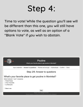### Step 4:

Time to vote! While the question you'll see will be different than this one, you will still have options to vote, as well as an option of a "Blank Vote" if you wish to abstain.

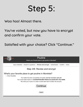### Step 5:

Woo hoo! Almost there.

You've voted, but now you have to encrypt and confirm your vote.

Satisfied with your choice? Click "Continue."

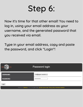### Step 6:

Now it's time for that other email! You need to log in, using your email address as your username, and the generated password that you received via email.

Type in your email address, copy and paste the password, and click "Login"!

| dos<br><b>BEL</b>                                                                                      | Password login       |  |
|--------------------------------------------------------------------------------------------------------|----------------------|--|
| <b>USERNAME:</b>                                                                                       | mail@agsem-aeedem.ca |  |
| <b>PASSWORD:</b>                                                                                       |                      |  |
| Login                                                                                                  |                      |  |
| Powered by Belenios 1.12 (1.12-4-g80179a6). Get the source code. Privacy policy. Administer elections. |                      |  |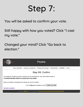#### Step 7:

You will be asked to confirm your vote.

Still happy with how you voted? Click "I cast my vote."

Changed your mind? Click "Go back to election."

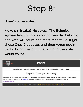### Step 8:

Done! You've voted.

Make a mistake? No stress! The Belenios system lets you go back and re-vote, but only one vote will count: the most recent. So, if you chose Chez Claudette, and then voted again for La Banquise, only the La Banquise vote would count.



Powered by Belenios 1.12 (1.12-4-g80179a6). Get the source code. Privacy policy. Administer this election.